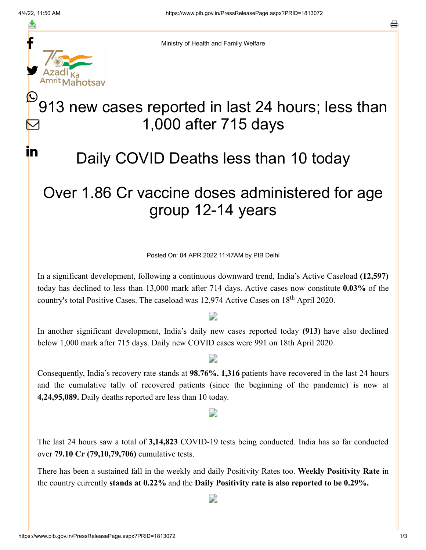f

≛

y.

**in** 

o



### 913 new cases reported in last 24 hours; less than 1,000 after 715 days  $\boldsymbol{\mathbb{O}}$  ,  $\bm{\nabla}$

# Daily COVID Deaths less than 10 today

## Over 1.86 Cr vaccine doses administered for age group 12-14 years

Posted On: 04 APR 2022 11:47AM by PIB Delhi

In a significant development, following a continuous downward trend, India's Active Caseload **(12,597)** today has declined to less than 13,000 mark after 714 days. Active cases now constitute **0.03%** of the country's total Positive Cases. The caseload was 12,974 Active Cases on  $18^{th}$  April 2020.

In another significant development, India's daily new cases reported today **(913)** have also declined below 1,000 mark after 715 days. Daily new COVID cases were 991 on 18th April 2020.

#### D

Consequently, India's recovery rate stands at **98.76%. 1,316** patients have recovered in the last 24 hours and the cumulative tally of recovered patients (since the beginning of the pandemic) is now at **4,24,95,089.** Daily deaths reported are less than 10 today.

#### D

The last 24 hours saw a total of **3,14,823** COVID-19 tests being conducted. India has so far conducted over **79.10 Cr (79,10,79,706)** cumulative tests.

There has been a sustained fall in the weekly and daily Positivity Rates too. **Weekly Positivity Rate** in the country currently **stands at 0.22%** and the **Daily Positivity rate is also reported to be 0.29%.**

D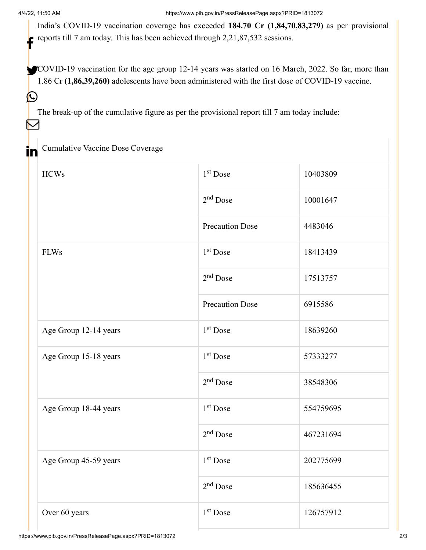$\mathbf{C}$ 

M

India's COVID-19 vaccination coverage has exceeded **184.70 Cr (1,84,70,83,279)** as per provisional reports till 7 am today. This has been achieved through 2,21,87,532 sessions. f

COVID-19 vaccination for the age group 12-14 years was started on 16 March, 2022. So far, more than 1.86 Cr **(1,86,39,260)** adolescents have been administered with the first dose of COVID-19 vaccine.

The break-up of the cumulative figure as per the provisional report till 7 am today include:

| <b>HCWs</b>           | $1st$ Dose             | 10403809  |
|-----------------------|------------------------|-----------|
|                       | $2nd$ Dose             | 10001647  |
|                       | <b>Precaution Dose</b> | 4483046   |
| <b>FLWs</b>           | 1 <sup>st</sup> Dose   | 18413439  |
|                       | $2nd$ Dose             | 17513757  |
|                       | <b>Precaution Dose</b> | 6915586   |
| Age Group 12-14 years | $1st$ Dose             | 18639260  |
| Age Group 15-18 years | 1 <sup>st</sup> Dose   | 57333277  |
|                       | $2nd$ Dose             | 38548306  |
| Age Group 18-44 years | $1st$ Dose             | 554759695 |
|                       | $2nd$ Dose             | 467231694 |
| Age Group 45-59 years | $1st$ Dose             | 202775699 |
|                       | 2 <sup>nd</sup> Dose   | 185636455 |
| Over 60 years         | $1st$ Dose             | 126757912 |